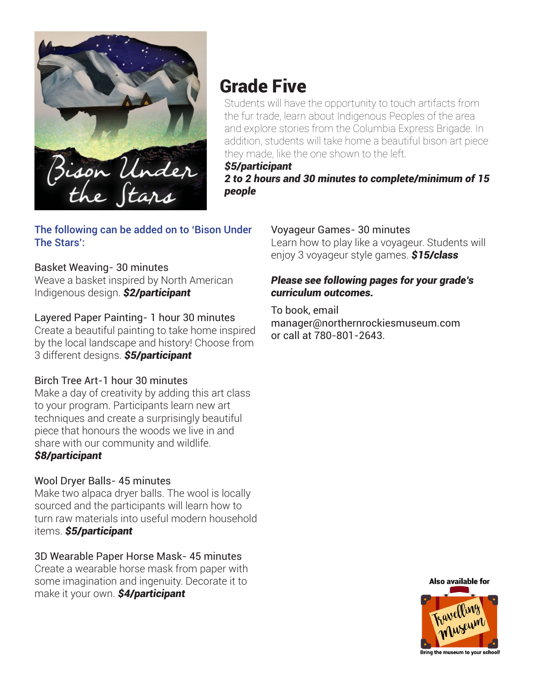

# Grade Five

Students will have the opportunity to touch artifacts from the fur trade, learn about Indigenous Peoples of the area and explore stories from the Columbia Express Brigade. In addition, students will take home a beautiful bison art piece they made, like the one shown to the left.

*\$5/participant 2 to 2 hours and 30 minutes to complete/minimum of 15 people*

### The following can be added on to 'Bison Under The Stars':

### Basket Weaving- 30 minutes

Weave a basket inspired by North American Indigenous design. *\$2/participant*

### Layered Paper Painting- 1 hour 30 minutes

Create a beautiful painting to take home inspired by the local landscape and history! Choose from 3 different designs. *\$5/participant*

### Birch Tree Art-1 hour 30 minutes

Make a day of creativity by adding this art class to your program. Participants learn new art techniques and create a surprisingly beautiful piece that honours the woods we live in and share with our community and wildlife. *\$8/participant*

### Wool Dryer Balls- 45 minutes

Make two alpaca dryer balls. The wool is locally sourced and the participants will learn how to turn raw materials into useful modern household items. *\$5/participant*

### 3D Wearable Paper Horse Mask- 45 minutes

Create a wearable horse mask from paper with some imagination and ingenuity. Decorate it to make it your own. *\$4/participant*

#### Voyageur Games- 30 minutes Learn how to play like a voyageur. Students will enjoy 3 voyageur style games. *\$15/class*

### *Please see following pages for your grade's curriculum outcomes.*

To book, email manager@northernrockiesmuseum.com or call at 780-801-2643.